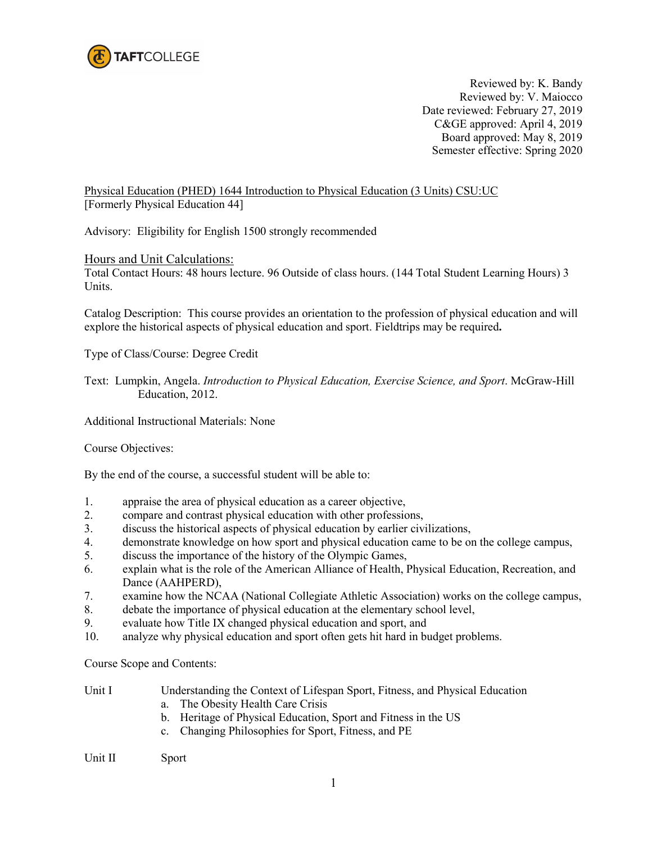

Reviewed by: K. Bandy Reviewed by: V. Maiocco Date reviewed: February 27, 2019 C&GE approved: April 4, 2019 Board approved: May 8, 2019 Semester effective: Spring 2020

Physical Education (PHED) 1644 Introduction to Physical Education (3 Units) CSU:UC [Formerly Physical Education 44]

Advisory: Eligibility for English 1500 strongly recommended

## Hours and Unit Calculations:

Total Contact Hours: 48 hours lecture. 96 Outside of class hours. (144 Total Student Learning Hours) 3 Units.

Catalog Description: This course provides an orientation to the profession of physical education and will explore the historical aspects of physical education and sport. Fieldtrips may be required**.**

Type of Class/Course: Degree Credit

Text: Lumpkin, Angela. *Introduction to Physical Education, Exercise Science, and Sport*. McGraw-Hill Education, 2012.

Additional Instructional Materials: None

Course Objectives:

By the end of the course, a successful student will be able to:

- 1. appraise the area of physical education as a career objective,
- 2. compare and contrast physical education with other professions,
- 3. discuss the historical aspects of physical education by earlier civilizations,
- 4. demonstrate knowledge on how sport and physical education came to be on the college campus,
- 5. discuss the importance of the history of the Olympic Games,
- 6. explain what is the role of the American Alliance of Health, Physical Education, Recreation, and Dance (AAHPERD),
- 7. examine how the NCAA (National Collegiate Athletic Association) works on the college campus,
- 8. debate the importance of physical education at the elementary school level,
- 9. evaluate how Title IX changed physical education and sport, and
- 10. analyze why physical education and sport often gets hit hard in budget problems.

Course Scope and Contents:

| Unit I | Understanding the Context of Lifespan Sport, Fitness, and Physical Education |
|--------|------------------------------------------------------------------------------|
|        | a. The Obesity Health Care Crisis                                            |
|        | b. Heritage of Physical Education, Sport and Fitness in the US               |

c. Changing Philosophies for Sport, Fitness, and PE

Unit II Sport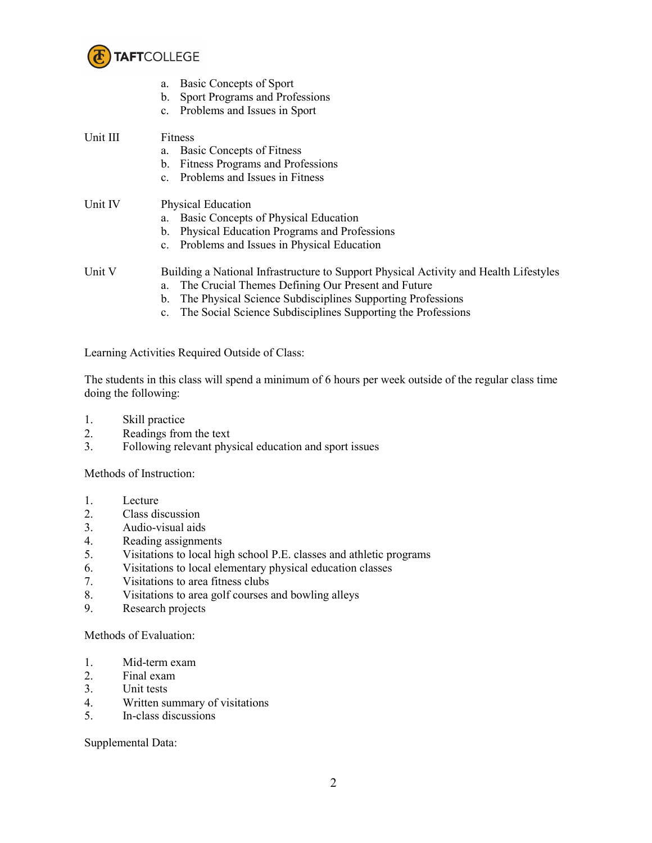

|          | Basic Concepts of Sport<br>a.<br>Sport Programs and Professions<br>b.<br>Problems and Issues in Sport<br>$c_{\cdot}$ |  |
|----------|----------------------------------------------------------------------------------------------------------------------|--|
| Unit III | Fitness                                                                                                              |  |
|          | Basic Concepts of Fitness<br>a.                                                                                      |  |
|          | <b>Fitness Programs and Professions</b><br>$b_{\cdot}$                                                               |  |
|          | Problems and Issues in Fitness<br>$c_{-}$                                                                            |  |
| Unit IV  | <b>Physical Education</b>                                                                                            |  |
|          | Basic Concepts of Physical Education<br>a.                                                                           |  |
|          | Physical Education Programs and Professions<br>b.                                                                    |  |
|          | c. Problems and Issues in Physical Education                                                                         |  |
| Unit V   | Building a National Infrastructure to Support Physical Activity and Health Lifestyles                                |  |
|          | The Crucial Themes Defining Our Present and Future<br>a.                                                             |  |
|          | The Physical Science Subdisciplines Supporting Professions<br>b.                                                     |  |
|          | The Social Science Subdisciplines Supporting the Professions<br>C <sub>1</sub>                                       |  |

Learning Activities Required Outside of Class:

The students in this class will spend a minimum of 6 hours per week outside of the regular class time doing the following:

- 1. Skill practice
- 2. Readings from the text
- 3. Following relevant physical education and sport issues

Methods of Instruction:

- 1. Lecture
- 2. Class discussion<br>3. Audio-visual aids
- Audio-visual aids
- 4. Reading assignments
- 5. Visitations to local high school P.E. classes and athletic programs
- 6. Visitations to local elementary physical education classes
- 7. Visitations to area fitness clubs
- 8. Visitations to area golf courses and bowling alleys
- 9. Research projects

Methods of Evaluation:

- 1. Mid-term exam
- 2. Final exam
- 3. Unit tests
- 4. Written summary of visitations<br>5. In-class discussions
- 5. In-class discussions

Supplemental Data: